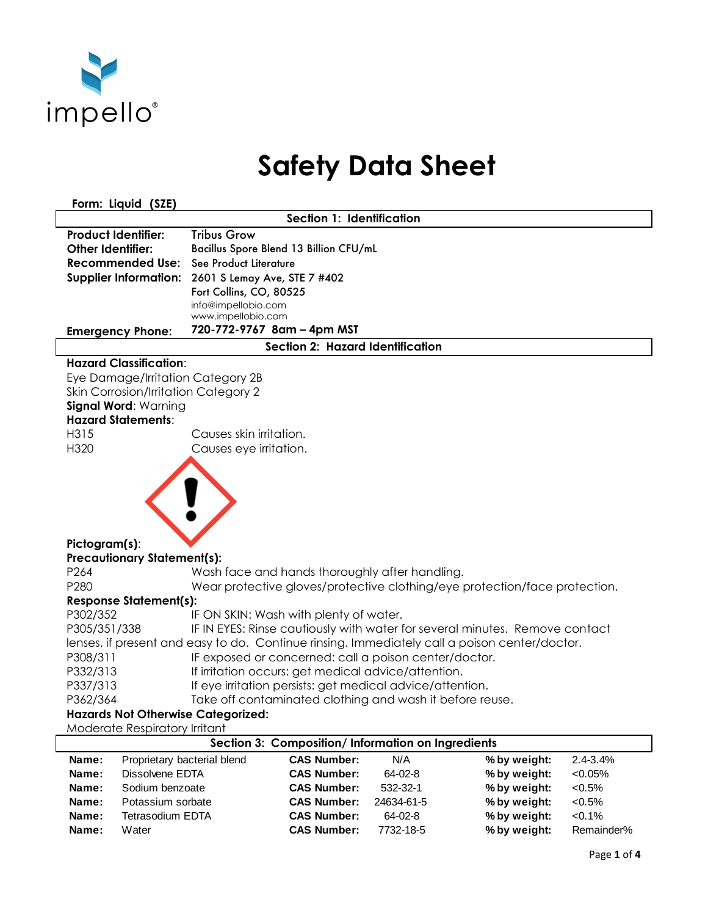

## **Safety Data Sheet**

**Form: Liquid (SZE)** 

| Section 1: Identification                                                                     |                            |                                                          |           |                                                                            |              |  |
|-----------------------------------------------------------------------------------------------|----------------------------|----------------------------------------------------------|-----------|----------------------------------------------------------------------------|--------------|--|
| <b>Product Identifier:</b>                                                                    | <b>Tribus Grow</b>         |                                                          |           |                                                                            |              |  |
| <b>Other Identifier:</b>                                                                      |                            | Bacillus Spore Blend 13 Billion CFU/mL                   |           |                                                                            |              |  |
| <b>Recommended Use:</b> See Product Literature                                                |                            |                                                          |           |                                                                            |              |  |
| Supplier Information: 2601 S Lemay Ave, STE 7 #402                                            |                            |                                                          |           |                                                                            |              |  |
|                                                                                               | Fort Collins, CO, 80525    |                                                          |           |                                                                            |              |  |
|                                                                                               | info@impellobio.com        |                                                          |           |                                                                            |              |  |
|                                                                                               | www.impellobio.com         |                                                          |           |                                                                            |              |  |
| <b>Emergency Phone:</b>                                                                       | 720-772-9767 8am - 4pm MST |                                                          |           |                                                                            |              |  |
| Section 2: Hazard Identification                                                              |                            |                                                          |           |                                                                            |              |  |
| <b>Hazard Classification:</b>                                                                 |                            |                                                          |           |                                                                            |              |  |
| Eye Damage/Irritation Category 2B                                                             |                            |                                                          |           |                                                                            |              |  |
| Skin Corrosion/Irritation Category 2                                                          |                            |                                                          |           |                                                                            |              |  |
| Signal Word: Warning                                                                          |                            |                                                          |           |                                                                            |              |  |
| <b>Hazard Statements:</b>                                                                     |                            |                                                          |           |                                                                            |              |  |
| H315                                                                                          | Causes skin irritation.    |                                                          |           |                                                                            |              |  |
| H320                                                                                          | Causes eye irritation.     |                                                          |           |                                                                            |              |  |
|                                                                                               |                            |                                                          |           |                                                                            |              |  |
|                                                                                               |                            |                                                          |           |                                                                            |              |  |
| Pictogram(s):                                                                                 |                            |                                                          |           |                                                                            |              |  |
| <b>Precautionary Statement(s):</b>                                                            |                            |                                                          |           |                                                                            |              |  |
| P264                                                                                          |                            | Wash face and hands thoroughly after handling.           |           |                                                                            |              |  |
| P280                                                                                          |                            |                                                          |           | Wear protective gloves/protective clothing/eye protection/face protection. |              |  |
| <b>Response Statement(s):</b>                                                                 |                            |                                                          |           |                                                                            |              |  |
| P302/352                                                                                      |                            | IF ON SKIN: Wash with plenty of water.                   |           |                                                                            |              |  |
| P305/351/338<br>IF IN EYES: Rinse cautiously with water for several minutes. Remove contact   |                            |                                                          |           |                                                                            |              |  |
| lenses, if present and easy to do. Continue rinsing. Immediately call a poison center/doctor. |                            |                                                          |           |                                                                            |              |  |
| P308/311<br>IF exposed or concerned: call a poison center/doctor.                             |                            |                                                          |           |                                                                            |              |  |
| P332/313<br>If irritation occurs: get medical advice/attention.                               |                            |                                                          |           |                                                                            |              |  |
| P337/313<br>If eye irritation persists: get medical advice/attention.                         |                            |                                                          |           |                                                                            |              |  |
| P362/364                                                                                      |                            | Take off contaminated clothing and wash it before reuse. |           |                                                                            |              |  |
| <b>Hazards Not Otherwise Categorized:</b>                                                     |                            |                                                          |           |                                                                            |              |  |
| Moderate Respiratory Irritant                                                                 |                            |                                                          |           |                                                                            |              |  |
| Section 3: Composition/Information on Ingredients                                             |                            |                                                          |           |                                                                            |              |  |
| Proprietary bacterial blend<br>Name:                                                          |                            | <b>CAS Number:</b>                                       | N/A       | % by weight:                                                               | $2.4 - 3.4%$ |  |
| Dissolvene EDTA<br>Name:                                                                      |                            | <b>CAS Number:</b>                                       | $64-02-8$ | % by weight:                                                               | < 0.05%      |  |
| Sodium benzoate<br>Name:                                                                      |                            | <b>CAS Number:</b>                                       | 532-32-1  | % by weight:                                                               | $< 0.5\%$    |  |

**Name:** Potassium sorbate **CAS Number:** 24634-61-5 **% by weight:** <0.5% **Name:** Tetrasodium EDTA **CAS Number:** 64-02-8 **% by weight:** <0.1% **Name:** Water **CAS Number:** 7732-18-5 **% by weight:** Remainder%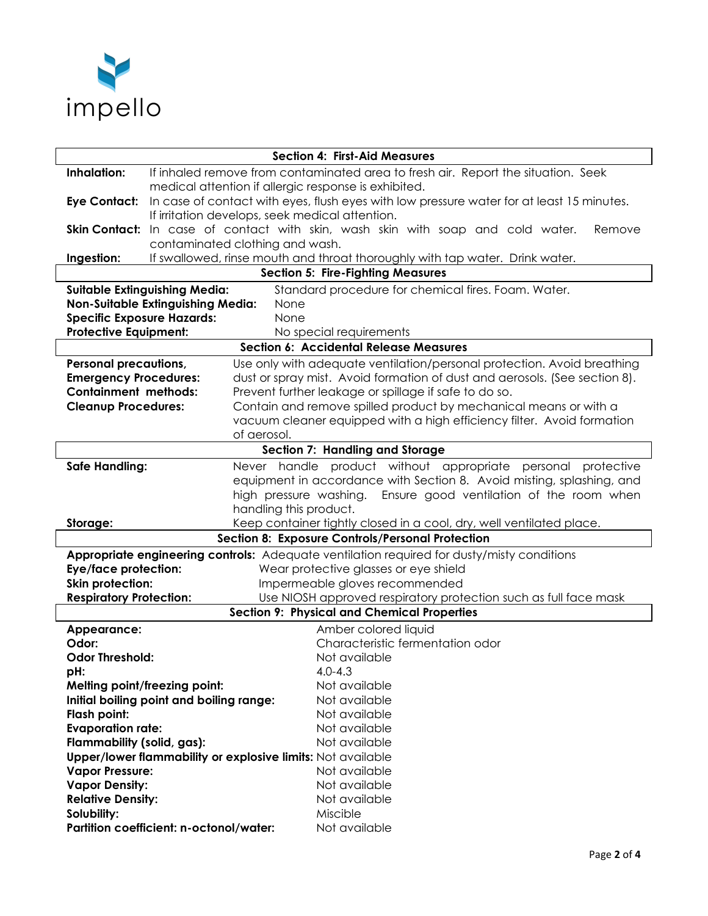

| <b>Section 4: First-Aid Measures</b>                                                        |                                                                                   |                                                                                            |  |  |  |  |
|---------------------------------------------------------------------------------------------|-----------------------------------------------------------------------------------|--------------------------------------------------------------------------------------------|--|--|--|--|
| Inhalation:                                                                                 | If inhaled remove from contaminated area to fresh air. Report the situation. Seek |                                                                                            |  |  |  |  |
|                                                                                             | medical attention if allergic response is exhibited.                              |                                                                                            |  |  |  |  |
| <b>Eye Contact:</b>                                                                         |                                                                                   | In case of contact with eyes, flush eyes with low pressure water for at least 15 minutes.  |  |  |  |  |
|                                                                                             |                                                                                   | If irritation develops, seek medical attention.                                            |  |  |  |  |
| <b>Skin Contact:</b>                                                                        |                                                                                   | In case of contact with skin, wash skin with soap and cold water.<br>Remove                |  |  |  |  |
|                                                                                             | contaminated clothing and wash.                                                   |                                                                                            |  |  |  |  |
| Ingestion:                                                                                  |                                                                                   | If swallowed, rinse mouth and throat thoroughly with tap water. Drink water.               |  |  |  |  |
|                                                                                             |                                                                                   | <b>Section 5: Fire-Fighting Measures</b>                                                   |  |  |  |  |
| <b>Suitable Extinguishing Media:</b><br>Standard procedure for chemical fires. Foam. Water. |                                                                                   |                                                                                            |  |  |  |  |
| <b>Non-Suitable Extinguishing Media:</b><br>None                                            |                                                                                   |                                                                                            |  |  |  |  |
| <b>Specific Exposure Hazards:</b>                                                           |                                                                                   | None                                                                                       |  |  |  |  |
| <b>Protective Equipment:</b><br>No special requirements                                     |                                                                                   |                                                                                            |  |  |  |  |
|                                                                                             |                                                                                   | Section 6: Accidental Release Measures                                                     |  |  |  |  |
| <b>Personal precautions,</b>                                                                |                                                                                   | Use only with adequate ventilation/personal protection. Avoid breathing                    |  |  |  |  |
| <b>Emergency Procedures:</b>                                                                |                                                                                   | dust or spray mist. Avoid formation of dust and aerosols. (See section 8).                 |  |  |  |  |
| <b>Containment methods:</b>                                                                 | Prevent further leakage or spillage if safe to do so.                             |                                                                                            |  |  |  |  |
| <b>Cleanup Procedures:</b>                                                                  |                                                                                   | Contain and remove spilled product by mechanical means or with a                           |  |  |  |  |
|                                                                                             |                                                                                   | vacuum cleaner equipped with a high efficiency filter. Avoid formation                     |  |  |  |  |
|                                                                                             |                                                                                   | of aerosol.                                                                                |  |  |  |  |
| <b>Section 7: Handling and Storage</b>                                                      |                                                                                   |                                                                                            |  |  |  |  |
| <b>Safe Handling:</b>                                                                       |                                                                                   | Never handle product without appropriate personal protective                               |  |  |  |  |
|                                                                                             |                                                                                   | equipment in accordance with Section 8. Avoid misting, splashing, and                      |  |  |  |  |
|                                                                                             |                                                                                   | high pressure washing.<br>Ensure good ventilation of the room when                         |  |  |  |  |
|                                                                                             | handling this product.                                                            |                                                                                            |  |  |  |  |
| Storage:                                                                                    |                                                                                   | Keep container tightly closed in a cool, dry, well ventilated place.                       |  |  |  |  |
|                                                                                             |                                                                                   | Section 8: Exposure Controls/Personal Protection                                           |  |  |  |  |
|                                                                                             |                                                                                   | Appropriate engineering controls: Adequate ventilation required for dusty/misty conditions |  |  |  |  |
| <b>Eye/face protection:</b>                                                                 | Wear protective glasses or eye shield                                             |                                                                                            |  |  |  |  |
| <b>Skin protection:</b>                                                                     |                                                                                   | Impermeable gloves recommended                                                             |  |  |  |  |
| <b>Respiratory Protection:</b>                                                              |                                                                                   | Use NIOSH approved respiratory protection such as full face mask                           |  |  |  |  |
|                                                                                             |                                                                                   | <b>Section 9: Physical and Chemical Properties</b>                                         |  |  |  |  |
| Appearance:                                                                                 |                                                                                   | Amber colored liquid                                                                       |  |  |  |  |
| Odor:                                                                                       |                                                                                   | Characteristic fermentation odor                                                           |  |  |  |  |
| <b>Odor Threshold:</b>                                                                      |                                                                                   | Not available                                                                              |  |  |  |  |
| pH:                                                                                         |                                                                                   | $4.0 - 4.3$                                                                                |  |  |  |  |
|                                                                                             | Melting point/freezing point:                                                     | Not available                                                                              |  |  |  |  |
|                                                                                             | Initial boiling point and boiling range:                                          | Not available                                                                              |  |  |  |  |
| Flash point:                                                                                |                                                                                   | Not available                                                                              |  |  |  |  |
| <b>Evaporation rate:</b>                                                                    |                                                                                   | Not available                                                                              |  |  |  |  |
| Flammability (solid, gas):<br>Not available                                                 |                                                                                   |                                                                                            |  |  |  |  |
| Upper/lower flammability or explosive limits: Not available                                 |                                                                                   |                                                                                            |  |  |  |  |
| <b>Vapor Pressure:</b>                                                                      |                                                                                   | Not available                                                                              |  |  |  |  |
| <b>Vapor Density:</b>                                                                       |                                                                                   | Not available                                                                              |  |  |  |  |
| <b>Relative Density:</b>                                                                    |                                                                                   | Not available                                                                              |  |  |  |  |
| Solubility:                                                                                 |                                                                                   | Miscible                                                                                   |  |  |  |  |
|                                                                                             | Partition coefficient: n-octonol/water:                                           | Not available                                                                              |  |  |  |  |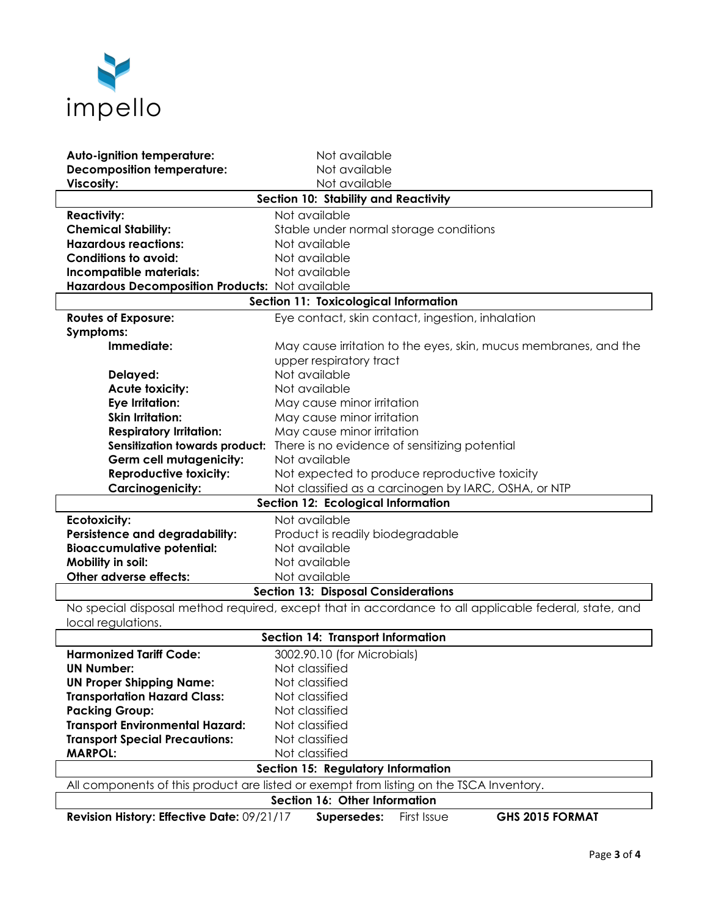

| Auto-ignition temperature:                                                              | Not available                                                                                        |  |  |  |  |
|-----------------------------------------------------------------------------------------|------------------------------------------------------------------------------------------------------|--|--|--|--|
| <b>Decomposition temperature:</b>                                                       | Not available                                                                                        |  |  |  |  |
| Viscosity:                                                                              | Not available                                                                                        |  |  |  |  |
| Section 10: Stability and Reactivity                                                    |                                                                                                      |  |  |  |  |
| <b>Reactivity:</b>                                                                      | Not available                                                                                        |  |  |  |  |
| <b>Chemical Stability:</b>                                                              | Stable under normal storage conditions                                                               |  |  |  |  |
| <b>Hazardous reactions:</b>                                                             | Not available                                                                                        |  |  |  |  |
| <b>Conditions to avoid:</b>                                                             | Not available                                                                                        |  |  |  |  |
| Incompatible materials:                                                                 | Not available                                                                                        |  |  |  |  |
| Hazardous Decomposition Products: Not available                                         |                                                                                                      |  |  |  |  |
|                                                                                         | Section 11: Toxicological Information                                                                |  |  |  |  |
| <b>Routes of Exposure:</b>                                                              | Eye contact, skin contact, ingestion, inhalation                                                     |  |  |  |  |
| Symptoms:                                                                               |                                                                                                      |  |  |  |  |
| Immediate:                                                                              | May cause irritation to the eyes, skin, mucus membranes, and the                                     |  |  |  |  |
|                                                                                         | upper respiratory tract                                                                              |  |  |  |  |
| Delayed:                                                                                | Not available                                                                                        |  |  |  |  |
| <b>Acute toxicity:</b>                                                                  | Not available                                                                                        |  |  |  |  |
| <b>Eye Irritation:</b>                                                                  | May cause minor irritation                                                                           |  |  |  |  |
| <b>Skin Irritation:</b>                                                                 | May cause minor irritation                                                                           |  |  |  |  |
| <b>Respiratory Irritation:</b>                                                          | May cause minor irritation                                                                           |  |  |  |  |
| <b>Sensitization towards product:</b>                                                   | There is no evidence of sensitizing potential                                                        |  |  |  |  |
| <b>Germ cell mutagenicity:</b>                                                          | Not available                                                                                        |  |  |  |  |
| <b>Reproductive toxicity:</b>                                                           | Not expected to produce reproductive toxicity                                                        |  |  |  |  |
| <b>Carcinogenicity:</b>                                                                 | Not classified as a carcinogen by IARC, OSHA, or NTP                                                 |  |  |  |  |
|                                                                                         | Section 12: Ecological Information                                                                   |  |  |  |  |
| <b>Ecotoxicity:</b>                                                                     | Not available                                                                                        |  |  |  |  |
| <b>Persistence and degradability:</b>                                                   | Product is readily biodegradable                                                                     |  |  |  |  |
| <b>Bioaccumulative potential:</b>                                                       | Not available                                                                                        |  |  |  |  |
| Mobility in soil:                                                                       | Not available                                                                                        |  |  |  |  |
| Other adverse effects:                                                                  | Not available                                                                                        |  |  |  |  |
| <b>Section 13: Disposal Considerations</b>                                              |                                                                                                      |  |  |  |  |
|                                                                                         | No special disposal method required, except that in accordance to all applicable federal, state, and |  |  |  |  |
| local regulations.                                                                      |                                                                                                      |  |  |  |  |
| Section 14: Transport Information                                                       |                                                                                                      |  |  |  |  |
| <b>Harmonized Tariff Code:</b>                                                          | 3002.90.10 (for Microbials)                                                                          |  |  |  |  |
| <b>UN Number:</b>                                                                       | Not classified                                                                                       |  |  |  |  |
| <b>UN Proper Shipping Name:</b>                                                         | Not classified                                                                                       |  |  |  |  |
| <b>Transportation Hazard Class:</b>                                                     | Not classified                                                                                       |  |  |  |  |
| <b>Packing Group:</b>                                                                   | Not classified                                                                                       |  |  |  |  |
| <b>Transport Environmental Hazard:</b>                                                  | Not classified                                                                                       |  |  |  |  |
| <b>Transport Special Precautions:</b>                                                   | Not classified                                                                                       |  |  |  |  |
| <b>MARPOL:</b>                                                                          | Not classified                                                                                       |  |  |  |  |
| Section 15: Regulatory Information                                                      |                                                                                                      |  |  |  |  |
| All components of this product are listed or exempt from listing on the TSCA Inventory. |                                                                                                      |  |  |  |  |
| Section 16: Other Information                                                           |                                                                                                      |  |  |  |  |
| Revision History: Effective Date: 09/21/17                                              | First Issue<br>GHS 2015 FORMAT<br>Supersedes:                                                        |  |  |  |  |